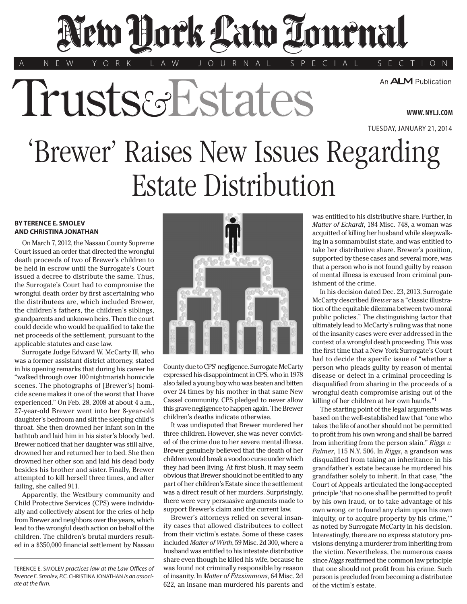## Jew Bork Law Towenal

'Trusts & Estates

A N E W Y O R K L A W J O U R N A L S P E C I A L S E C T I O N

An **ALM** Publication

TUESDAY, JANUARY 21, 2014

**WWW. NYLJ.COM**

'Brewer' Raises New Issues Regarding Estate Distribution

## **BY TERENCE E. SMOLEV AND CHRISTINA JONATHAN**

On March 7, 2012, the Nassau County Supreme Court issued an order that directed the wrongful death proceeds of two of Brewer's children to be held in escrow until the Surrogate's Court issued a decree to distribute the same. Thus, the Surrogate's Court had to compromise the wrongful death order by first ascertaining who the distributees are, which included Brewer, the children's fathers, the children's siblings, grandparents and unknown heirs. Then the court could decide who would be qualified to take the net proceeds of the settlement, pursuant to the applicable statutes and case law.

Surrogate Judge Edward W. McCarty III, who was a former assistant district attorney, stated in his opening remarks that during his career he "walked through over 100 nightmarish homicide scenes. The photographs of [Brewer's] homicide scene makes it one of the worst that I have experienced." On Feb. 28, 2008 at about 4 a.m., 27-year-old Brewer went into her 8-year-old daughter's bedroom and slit the sleeping child's throat. She then drowned her infant son in the bathtub and laid him in his sister's bloody bed. Brewer noticed that her daughter was still alive, drowned her and returned her to bed. She then drowned her other son and laid his dead body besides his brother and sister. Finally, Brewer attempted to kill herself three times, and after failing, she called 911.

Apparently, the Westbury community and Child Protective Services (CPS) were individually and collectively absent for the cries of help from Brewer and neighbors over the years, which lead to the wrongful death action on behalf of the children. The children's brutal murders resulted in a \$350,000 financial settlement by Nassau



County due to CPS' negligence. Surrogate McCarty expressed his disappointment in CPS, who in 1978 also failed a young boy who was beaten and bitten over 24 times by his mother in that same New Cassel community. CPS pledged to never allow this grave negligence to happen again. The Brewer children's deaths indicate otherwise.

It was undisputed that Brewer murdered her three children. However, she was never convicted of the crime due to her severe mental illness. Brewer genuinely believed that the death of her children would break a voodoo curse under which they had been living. At first blush, it may seem obvious that Brewer should not be entitled to any part of her children's Estate since the settlement was a direct result of her murders. Surprisingly, there were very persuasive arguments made to support Brewer's claim and the current law.

Brewer's attorneys relied on several insanity cases that allowed distributees to collect from their victim's estate. Some of these cases included *Matter of Wirth*, 59 Misc. 2d 300, where a husband was entitled to his intestate distributive share even though he killed his wife, because he was found not criminally responsible by reason of insanity. In *Matter of Fitzsimmons*, 64 Misc. 2d 622, an insane man murdered his parents and

was entitled to his distributive share. Further, in *Matter of Eckardt*, 184 Misc. 748, a woman was acquitted of killing her husband while sleepwalking in a somnambulist state, and was entitled to take her distributive share. Brewer's position, supported by these cases and several more, was that a person who is not found guilty by reason of mental illness is excused from criminal punishment of the crime.

In his decision dated Dec. 23, 2013, Surrogate McCarty described *Brewer* as a "classic illustration of the equitable dilemma between two moral public policies." The distinguishing factor that ultimately lead to McCarty's ruling was that none of the insanity cases were ever addressed in the context of a wrongful death proceeding. This was the first time that a New York Surrogate's Court had to decide the specific issue of "whether a person who pleads guilty by reason of mental disease or defect in a criminal proceeding is disqualified from sharing in the proceeds of a wrongful death compromise arising out of the killing of her children at her own hands."1

The starting point of the legal arguments was based on the well-established law that "one who takes the life of another should not be permitted to profit from his own wrong and shall be barred from inheriting from the person slain." *Riggs v. Palmer*, 115 N.Y. 506. In *Riggs*, a grandson was disqualified from taking an inheritance in his grandfather's estate because he murdered his grandfather solely to inherit. In that case, "the Court of Appeals articulated the long-accepted principle 'that no one shall be permitted to profit by his own fraud, or to take advantage of his own wrong, or to found any claim upon his own iniquity, or to acquire property by his crime,'" as noted by Surrogate McCarty in his decision. Interestingly, there are no express statutory provisions denying a murderer from inheriting from the victim. Nevertheless, the numerous cases since *Riggs* reaffirmed the common law principle that one should not profit from his crime. Such person is precluded from becoming a distributee of the victim's estate.

TERENCE E. SMOLEV *practices law at the Law Offices of Terence E. Smolev, P.C.* CHRISTINA JONATHAN *is an associate at the firm.*